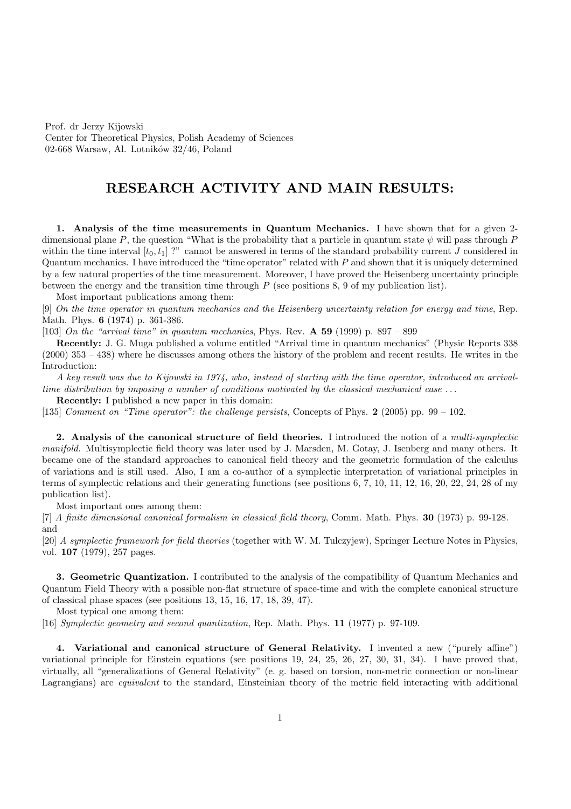Prof. dr Jerzy Kijowski Center for Theoretical Physics, Polish Academy of Sciences 02-668 Warsaw, Al. Lotników  $32/46$ , Poland

## RESEARCH ACTIVITY AND MAIN RESULTS:

1. Analysis of the time measurements in Quantum Mechanics. I have shown that for a given 2 dimensional plane P, the question "What is the probability that a particle in quantum state  $\psi$  will pass through P within the time interval  $[t_0, t_1]$ ?" cannot be answered in terms of the standard probability current J considered in Quantum mechanics. I have introduced the "time operator" related with  $P$  and shown that it is uniquely determined by a few natural properties of the time measurement. Moreover, I have proved the Heisenberg uncertainty principle between the energy and the transition time through P (see positions 8, 9 of my publication list).

Most important publications among them:

[9] On the time operator in quantum mechanics and the Heisenberg uncertainty relation for energy and time, Rep. Math. Phys. 6 (1974) p. 361-386.

[103] On the "arrival time" in quantum mechanics, Phys. Rev.  $\bf{A}$  59 (1999) p. 897 – 899

Recently: J. G. Muga published a volume entitled "Arrival time in quantum mechanics" (Physic Reports 338 (2000) 353 – 438) where he discusses among others the history of the problem and recent results. He writes in the Introduction:

A key result was due to Kijowski in 1974, who, instead of starting with the time operator, introduced an arrivaltime distribution by imposing a number of conditions motivated by the classical mechanical case  $\dots$ 

Recently: I published a new paper in this domain:

[135] Comment on "Time operator": the challenge persists, Concepts of Phys. 2 (2005) pp. 99 – 102.

2. Analysis of the canonical structure of field theories. I introduced the notion of a multi-symplectic manifold. Multisymplectic field theory was later used by J. Marsden, M. Gotay, J. Isenberg and many others. It became one of the standard approaches to canonical field theory and the geometric formulation of the calculus of variations and is still used. Also, I am a co-author of a symplectic interpretation of variational principles in terms of symplectic relations and their generating functions (see positions 6, 7, 10, 11, 12, 16, 20, 22, 24, 28 of my publication list).

Most important ones among them:

[7] A finite dimensional canonical formalism in classical field theory, Comm. Math. Phys. 30 (1973) p. 99-128. and

[20] A symplectic framework for field theories (together with W. M. Tulczyjew), Springer Lecture Notes in Physics, vol. 107 (1979), 257 pages.

3. Geometric Quantization. I contributed to the analysis of the compatibility of Quantum Mechanics and Quantum Field Theory with a possible non-flat structure of space-time and with the complete canonical structure of classical phase spaces (see positions 13, 15, 16, 17, 18, 39, 47).

Most typical one among them:

[16] Symplectic geometry and second quantization, Rep. Math. Phys. 11 (1977) p. 97-109.

4. Variational and canonical structure of General Relativity. I invented a new ("purely affine") variational principle for Einstein equations (see positions 19, 24, 25, 26, 27, 30, 31, 34). I have proved that, virtually, all "generalizations of General Relativity" (e. g. based on torsion, non-metric connection or non-linear Lagrangians) are equivalent to the standard, Einsteinian theory of the metric field interacting with additional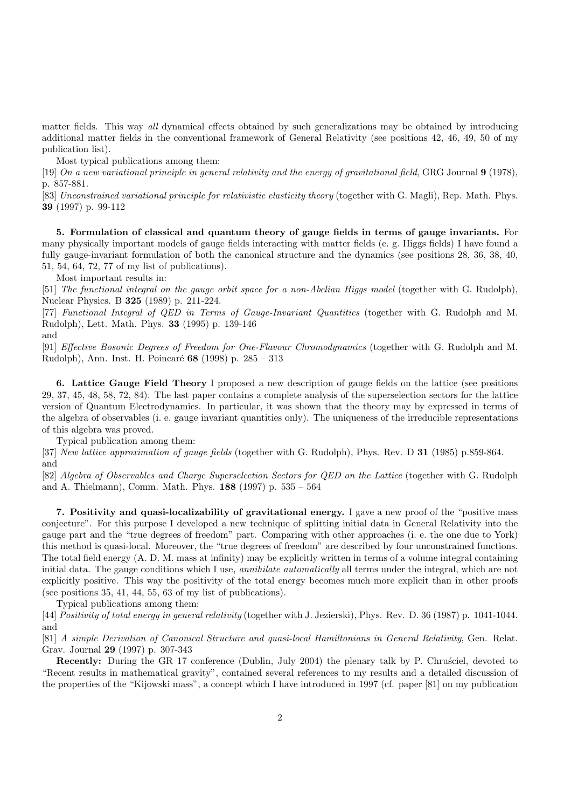matter fields. This way all dynamical effects obtained by such generalizations may be obtained by introducing additional matter fields in the conventional framework of General Relativity (see positions 42, 46, 49, 50 of my publication list).

Most typical publications among them:

[19] On a new variational principle in general relativity and the energy of gravitational field, GRG Journal 9 (1978), p. 857-881.

[83] Unconstrained variational principle for relativistic elasticity theory (together with G. Magli), Rep. Math. Phys. 39 (1997) p. 99-112

5. Formulation of classical and quantum theory of gauge fields in terms of gauge invariants. For many physically important models of gauge fields interacting with matter fields (e. g. Higgs fields) I have found a fully gauge-invariant formulation of both the canonical structure and the dynamics (see positions 28, 36, 38, 40, 51, 54, 64, 72, 77 of my list of publications).

Most important results in:

[51] The functional integral on the gauge orbit space for a non-Abelian Higgs model (together with G. Rudolph), Nuclear Physics. B 325 (1989) p. 211-224.

[77] Functional Integral of QED in Terms of Gauge-Invariant Quantities (together with G. Rudolph and M. Rudolph), Lett. Math. Phys. 33 (1995) p. 139-146

and

[91] Effective Bosonic Degrees of Freedom for One-Flavour Chromodynamics (together with G. Rudolph and M. Rudolph), Ann. Inst. H. Poincaré 68 (1998) p. 285 – 313

6. Lattice Gauge Field Theory I proposed a new description of gauge fields on the lattice (see positions 29, 37, 45, 48, 58, 72, 84). The last paper contains a complete analysis of the superselection sectors for the lattice version of Quantum Electrodynamics. In particular, it was shown that the theory may by expressed in terms of the algebra of observables (i. e. gauge invariant quantities only). The uniqueness of the irreducible representations of this algebra was proved.

Typical publication among them:

[37] New lattice approximation of gauge fields (together with G. Rudolph), Phys. Rev. D 31 (1985) p.859-864. and

[82] Algebra of Observables and Charge Superselection Sectors for QED on the Lattice (together with G. Rudolph and A. Thielmann), Comm. Math. Phys. 188 (1997) p. 535 – 564

7. Positivity and quasi-localizability of gravitational energy. I gave a new proof of the "positive mass conjecture". For this purpose I developed a new technique of splitting initial data in General Relativity into the gauge part and the "true degrees of freedom" part. Comparing with other approaches (i. e. the one due to York) this method is quasi-local. Moreover, the "true degrees of freedom" are described by four unconstrained functions. The total field energy (A. D. M. mass at infinity) may be explicitly written in terms of a volume integral containing initial data. The gauge conditions which I use, *annihilate automatically* all terms under the integral, which are not explicitly positive. This way the positivity of the total energy becomes much more explicit than in other proofs (see positions 35, 41, 44, 55, 63 of my list of publications).

Typical publications among them:

[44] Positivity of total energy in general relativity (together with J. Jezierski), Phys. Rev. D. 36 (1987) p. 1041-1044. and

[81] A simple Derivation of Canonical Structure and quasi-local Hamiltonians in General Relativity, Gen. Relat. Grav. Journal 29 (1997) p. 307-343

Recently: During the GR 17 conference (Dublin, July 2004) the plenary talk by P. Chrustiel, devoted to "Recent results in mathematical gravity", contained several references to my results and a detailed discussion of the properties of the "Kijowski mass", a concept which I have introduced in 1997 (cf. paper [81] on my publication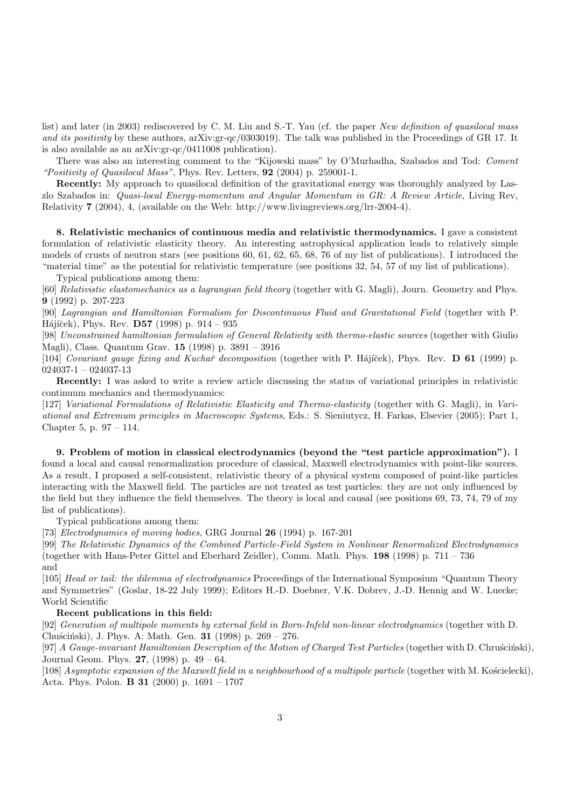list) and later (in 2003) rediscovered by C. M. Liu and S.-T. Yau (cf. the paper New definition of quasilocal mass and its positivity by these authors, arXiv:gr-qc/0303019). The talk was published in the Proceedings of GR 17. It is also available as an arXiv:gr-qc/0411008 publication).

There was also an interesting comment to the "Kijowski mass" by O'Murhadha, Szabados and Tod: Coment "Positivity of Quasilocal Mass", Phys. Rev. Letters, 92 (2004) p. 259001-1.

Recently: My approach to quasilocal definition of the gravitational energy was thoroughly analyzed by Laszlo Szabados in: Quasi-local Energy-momentum and Angular Momentum in GR: A Review Article, Living Rev, Relativity 7 (2004), 4, (available on the Web: http://www.livingreviews.org/lrr-2004-4).

8. Relativistic mechanics of continuous media and relativistic thermodynamics. I gave a consistent formulation of relativistic elasticity theory. An interesting astrophysical application leads to relatively simple models of crusts of neutron stars (see positions 60, 61, 62, 65, 68, 76 of my list of publications). I introduced the "material time" as the potential for relativistic temperature (see positions 32, 54, 57 of my list of publications).

Typical publications among them:

[60] Relativistic elastomechanics as a lagrangian field theory (together with G. Magli), Journ. Geometry and Phys. 9 (1992) p. 207-223

[90] Lagrangian and Hamiltonian Formalism for Discontinuous Fluid and Gravitational Field (together with P. Hájíček), Phys. Rev.  $D57$  (1998) p. 914 – 935

[98] Unconstrained hamiltonian formulation of General Relativity with thermo-elastic sources (together with Giulio Magli), Class. Quantum Grav. 15 (1998) p. 3891 – 3916

[104] Covariant gauge fixing and Kuchař decomposition (together with P. Hájíček), Phys. Rev. D 61 (1999) p. 024037-1 – 024037-13

Recently: I was asked to write a review article discussing the status of variational principles in relativistic continuum mechanics and thermodynamics:

[127] Variational Formulations of Relativistic Elasticity and Thermo-elasticity (together with G. Magli), in Variational and Extremum principles in Macroscopic Systems, Eds.: S. Sieniutycz, H. Farkas, Elsevier (2005); Part 1, Chapter 5, p. 97 – 114.

9. Problem of motion in classical electrodynamics (beyond the "test particle approximation"). I found a local and causal renormalization procedure of classical, Maxwell electrodynamics with point-like sources. As a result, I proposed a self-consistent, relativistic theory of a physical system composed of point-like particles interacting with the Maxwell field. The particles are not treated as test particles: they are not only influenced by the field but they influence the field themselves. The theory is local and causal (see positions 69, 73, 74, 79 of my list of publications).

Typical publications among them:

[73] Electrodynamics of moving bodies, GRG Journal 26 (1994) p. 167-201

[99] The Relativistic Dynamics of the Combined Particle-Field System in Nonlinear Renormalized Electrodynamics (together with Hans-Peter Gittel and Eberhard Zeidler), Comm. Math. Phys. 198 (1998) p. 711 – 736 and

[105] Head or tail: the dilemma of electrodynamics Proceedings of the International Symposium "Quantum Theory and Symmetries" (Goslar, 18-22 July 1999); Editors H.-D. Doebner, V.K. Dobrev, J.-D. Hennig and W. Luecke; World Scientific

## Recent publications in this field:

[92] Generation of multipole moments by external field in Born-Infeld non-linear electrodynamics (together with D. Chuściński), J. Phys. A: Math. Gen. **31** (1998) p. 269 – 276.

[97] A Gauge-invariant Hamiltonian Description of the Motion of Charged Test Particles (together with D. Chruscinski), Journal Geom. Phys. 27, (1998) p. 49 – 64.

 $[108]$  Asymptotic expansion of the Maxwell field in a neighbourhood of a multipole particle (together with M. Kościelecki), Acta. Phys. Polon. **B** 31 (2000) p.  $1691 - 1707$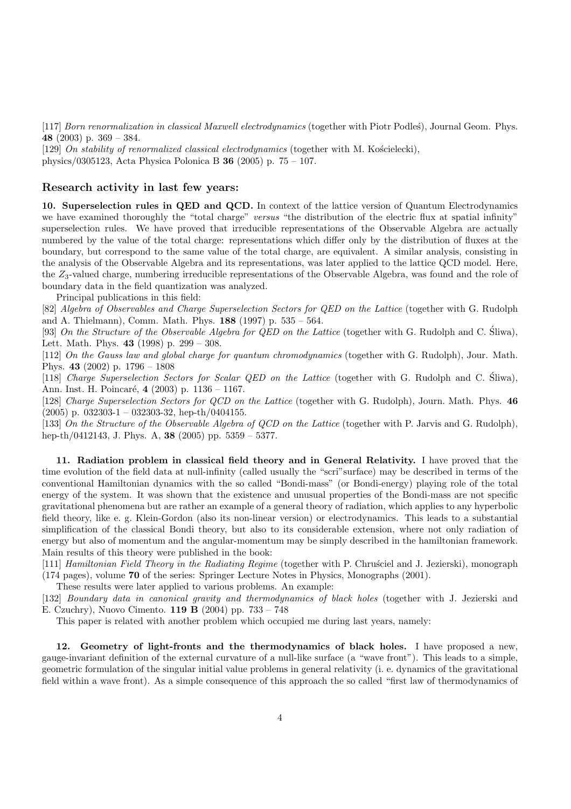[117] Born renormalization in classical Maxwell electrodynamics (together with Piotr Podleś), Journal Geom. Phys. 48 (2003) p. 369 – 384.

[129] On stability of renormalized classical electrodynamics (together with M. Kościelecki), physics/0305123, Acta Physica Polonica B 36 (2005) p. 75 – 107.

## Research activity in last few years:

10. Superselection rules in QED and QCD. In context of the lattice version of Quantum Electrodynamics we have examined thoroughly the "total charge" versus "the distribution of the electric flux at spatial infinity" superselection rules. We have proved that irreducible representations of the Observable Algebra are actually numbered by the value of the total charge: representations which differ only by the distribution of fluxes at the boundary, but correspond to the same value of the total charge, are equivalent. A similar analysis, consisting in the analysis of the Observable Algebra and its representations, was later applied to the lattice QCD model. Here, the  $Z_3$ -valued charge, numbering irreducible representations of the Observable Algebra, was found and the role of boundary data in the field quantization was analyzed.

Principal publications in this field:

[82] Algebra of Observables and Charge Superselection Sectors for QED on the Lattice (together with G. Rudolph and A. Thielmann), Comm. Math. Phys. 188 (1997) p. 535 – 564.

[93] On the Structure of the Observable Algebra for OED on the Lattice (together with G. Rudolph and C. Sliwa), Lett. Math. Phys. 43 (1998) p. 299 – 308.

[112] On the Gauss law and global charge for quantum chromodynamics (together with G. Rudolph), Jour. Math. Phys. 43 (2002) p. 1796 – 1808

[118] Charge Superselection Sectors for Scalar QED on the Lattice (together with G. Rudolph and C. Sliwa), ´ Ann. Inst. H. Poincaré, 4 (2003) p. 1136 – 1167.

[128] Charge Superselection Sectors for QCD on the Lattice (together with G. Rudolph), Journ. Math. Phys. 46  $(2005)$  p. 032303-1 – 032303-32, hep-th/0404155.

[133] On the Structure of the Observable Algebra of QCD on the Lattice (together with P. Jarvis and G. Rudolph), hep-th/0412143, J. Phys. A, 38 (2005) pp. 5359 – 5377.

11. Radiation problem in classical field theory and in General Relativity. I have proved that the time evolution of the field data at null-infinity (called usually the "scri"surface) may be described in terms of the conventional Hamiltonian dynamics with the so called "Bondi-mass" (or Bondi-energy) playing role of the total energy of the system. It was shown that the existence and unusual properties of the Bondi-mass are not specific gravitational phenomena but are rather an example of a general theory of radiation, which applies to any hyperbolic field theory, like e. g. Klein-Gordon (also its non-linear version) or electrodynamics. This leads to a substantial simplification of the classical Bondi theory, but also to its considerable extension, where not only radiation of energy but also of momentum and the angular-momentum may be simply described in the hamiltonian framework. Main results of this theory were published in the book:

[111] Hamiltonian Field Theory in the Radiating Regime (together with P. Chrusciel and J. Jezierski), monograph (174 pages), volume 70 of the series: Springer Lecture Notes in Physics, Monographs (2001).

These results were later applied to various problems. An example:

[132] Boundary data in canonical gravity and thermodynamics of black holes (together with J. Jezierski and E. Czuchry), Nuovo Cimento. 119 B (2004) pp. 733 – 748

This paper is related with another problem which occupied me during last years, namely:

12. Geometry of light-fronts and the thermodynamics of black holes. I have proposed a new, gauge-invariant definition of the external curvature of a null-like surface (a "wave front"). This leads to a simple, geometric formulation of the singular initial value problems in general relativity (i. e. dynamics of the gravitational field within a wave front). As a simple consequence of this approach the so called "first law of thermodynamics of